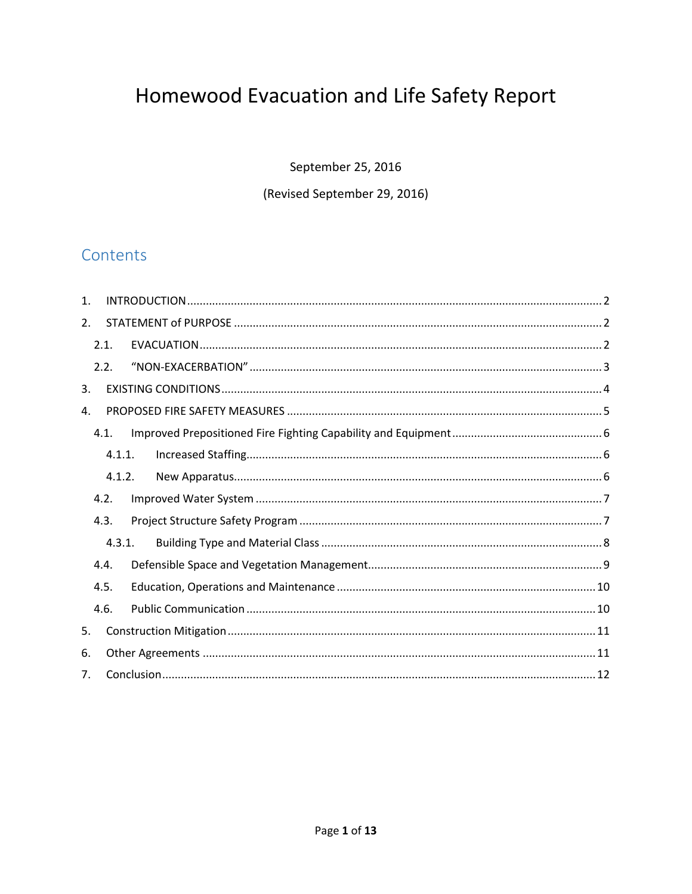# Homewood Evacuation and Life Safety Report

September 25, 2016

#### (Revised September 29, 2016)

# Contents

| $\mathbf{1}$ . |        |  |  |  |
|----------------|--------|--|--|--|
| 2.             |        |  |  |  |
|                | 2.1.   |  |  |  |
|                | 2.2.   |  |  |  |
| 3.             |        |  |  |  |
| 4.             |        |  |  |  |
|                | 4.1.   |  |  |  |
|                | 4.1.1. |  |  |  |
|                | 4.1.2. |  |  |  |
|                | 4.2.   |  |  |  |
|                | 4.3.   |  |  |  |
| 4.3.1.         |        |  |  |  |
|                | 4.4.   |  |  |  |
|                | 4.5.   |  |  |  |
|                | 4.6.   |  |  |  |
| 5.             |        |  |  |  |
| 6.             |        |  |  |  |
| 7 <sub>1</sub> |        |  |  |  |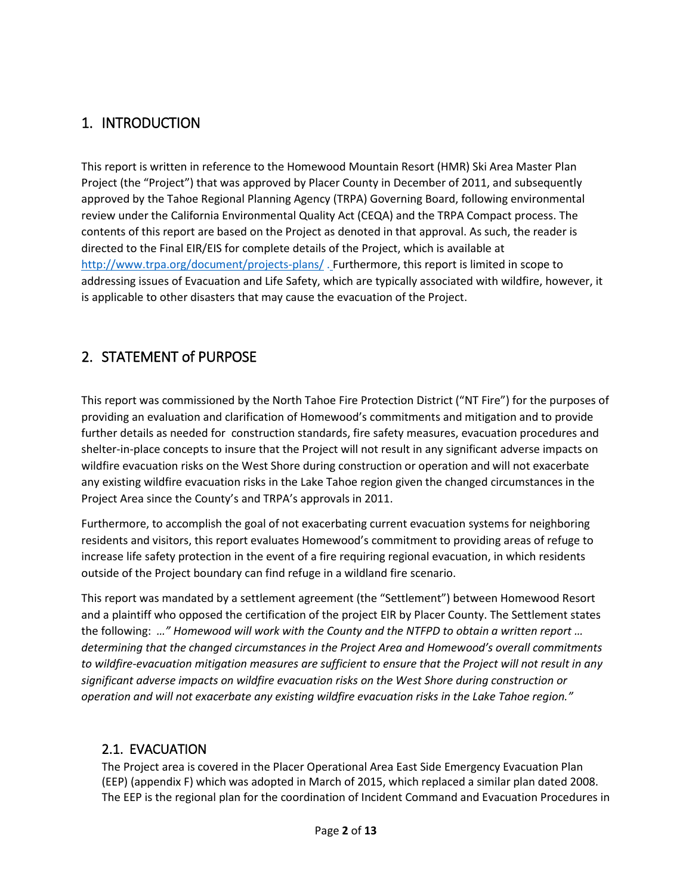## <span id="page-1-0"></span>1. INTRODUCTION

This report is written in reference to the Homewood Mountain Resort (HMR) Ski Area Master Plan Project (the "Project") that was approved by Placer County in December of 2011, and subsequently approved by the Tahoe Regional Planning Agency (TRPA) Governing Board, following environmental review under the California Environmental Quality Act (CEQA) and the TRPA Compact process. The contents of this report are based on the Project as denoted in that approval. As such, the reader is directed to the Final EIR/EIS for complete details of the Project, which is available at <http://www.trpa.org/document/projects-plans/> . Furthermore, this report is limited in scope to addressing issues of Evacuation and Life Safety, which are typically associated with wildfire, however, it is applicable to other disasters that may cause the evacuation of the Project.

## <span id="page-1-1"></span>2. STATEMENT of PURPOSE

This report was commissioned by the North Tahoe Fire Protection District ("NT Fire") for the purposes of providing an evaluation and clarification of Homewood's commitments and mitigation and to provide further details as needed for construction standards, fire safety measures, evacuation procedures and shelter-in-place concepts to insure that the Project will not result in any significant adverse impacts on wildfire evacuation risks on the West Shore during construction or operation and will not exacerbate any existing wildfire evacuation risks in the Lake Tahoe region given the changed circumstances in the Project Area since the County's and TRPA's approvals in 2011.

Furthermore, to accomplish the goal of not exacerbating current evacuation systems for neighboring residents and visitors, this report evaluates Homewood's commitment to providing areas of refuge to increase life safety protection in the event of a fire requiring regional evacuation, in which residents outside of the Project boundary can find refuge in a wildland fire scenario.

This report was mandated by a settlement agreement (the "Settlement") between Homewood Resort and a plaintiff who opposed the certification of the project EIR by Placer County. The Settlement states the following: *…" Homewood will work with the County and the NTFPD to obtain a written report … determining that the changed circumstances in the Project Area and Homewood's overall commitments to wildfire-evacuation mitigation measures are sufficient to ensure that the Project will not result in any significant adverse impacts on wildfire evacuation risks on the West Shore during construction or operation and will not exacerbate any existing wildfire evacuation risks in the Lake Tahoe region."*

#### <span id="page-1-2"></span>2.1. EVACUATION

The Project area is covered in the Placer Operational Area East Side Emergency Evacuation Plan (EEP) (appendix F) which was adopted in March of 2015, which replaced a similar plan dated 2008. The EEP is the regional plan for the coordination of Incident Command and Evacuation Procedures in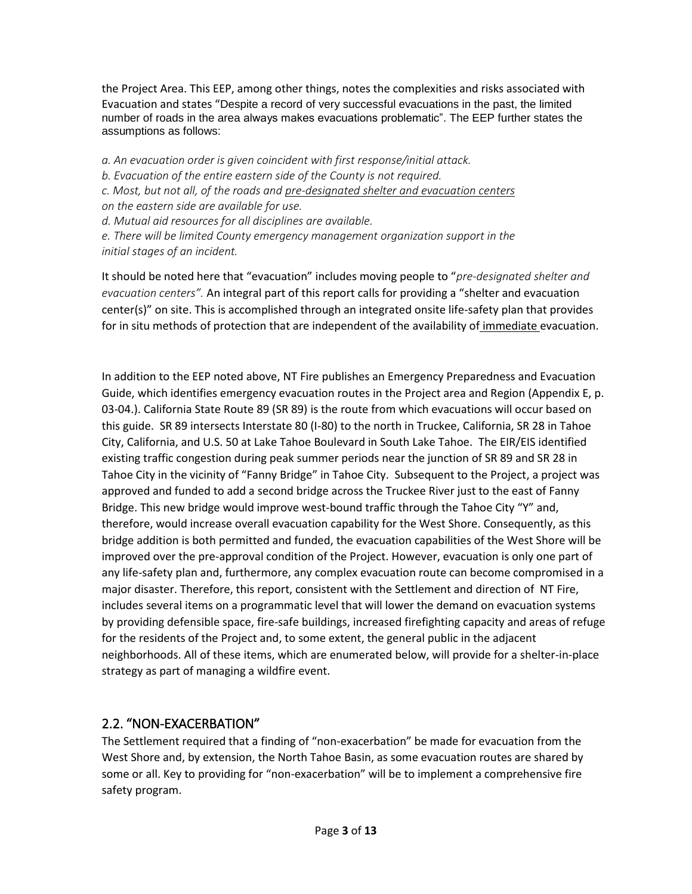the Project Area. This EEP, among other things, notes the complexities and risks associated with Evacuation and states "Despite a record of very successful evacuations in the past, the limited number of roads in the area always makes evacuations problematic". The EEP further states the assumptions as follows:

*a. An evacuation order is given coincident with first response/initial attack.*

*b. Evacuation of the entire eastern side of the County is not required.*

*c. Most, but not all, of the roads and pre-designated shelter and evacuation centers*

*on the eastern side are available for use.*

*d. Mutual aid resources for all disciplines are available.*

*e. There will be limited County emergency management organization support in the initial stages of an incident.*

It should be noted here that "evacuation" includes moving people to "*pre-designated shelter and evacuation centers".* An integral part of this report calls for providing a "shelter and evacuation center(s)" on site. This is accomplished through an integrated onsite life-safety plan that provides for in situ methods of protection that are independent of the availability of immediate evacuation.

In addition to the EEP noted above, NT Fire publishes an Emergency Preparedness and Evacuation Guide, which identifies emergency evacuation routes in the Project area and Region (Appendix E, p. 03-04.). California State Route 89 (SR 89) is the route from which evacuations will occur based on this guide. SR 89 intersects Interstate 80 (I-80) to the north in Truckee, California, SR 28 in Tahoe City, California, and U.S. 50 at Lake Tahoe Boulevard in South Lake Tahoe. The EIR/EIS identified existing traffic congestion during peak summer periods near the junction of SR 89 and SR 28 in Tahoe City in the vicinity of "Fanny Bridge" in Tahoe City. Subsequent to the Project, a project was approved and funded to add a second bridge across the Truckee River just to the east of Fanny Bridge. This new bridge would improve west-bound traffic through the Tahoe City "Y" and, therefore, would increase overall evacuation capability for the West Shore. Consequently, as this bridge addition is both permitted and funded, the evacuation capabilities of the West Shore will be improved over the pre-approval condition of the Project. However, evacuation is only one part of any life-safety plan and, furthermore, any complex evacuation route can become compromised in a major disaster. Therefore, this report, consistent with the Settlement and direction of NT Fire, includes several items on a programmatic level that will lower the demand on evacuation systems by providing defensible space, fire-safe buildings, increased firefighting capacity and areas of refuge for the residents of the Project and, to some extent, the general public in the adjacent neighborhoods. All of these items, which are enumerated below, will provide for a shelter-in-place strategy as part of managing a wildfire event.

### <span id="page-2-0"></span>2.2. "NON-EXACERBATION"

The Settlement required that a finding of "non-exacerbation" be made for evacuation from the West Shore and, by extension, the North Tahoe Basin, as some evacuation routes are shared by some or all. Key to providing for "non-exacerbation" will be to implement a comprehensive fire safety program.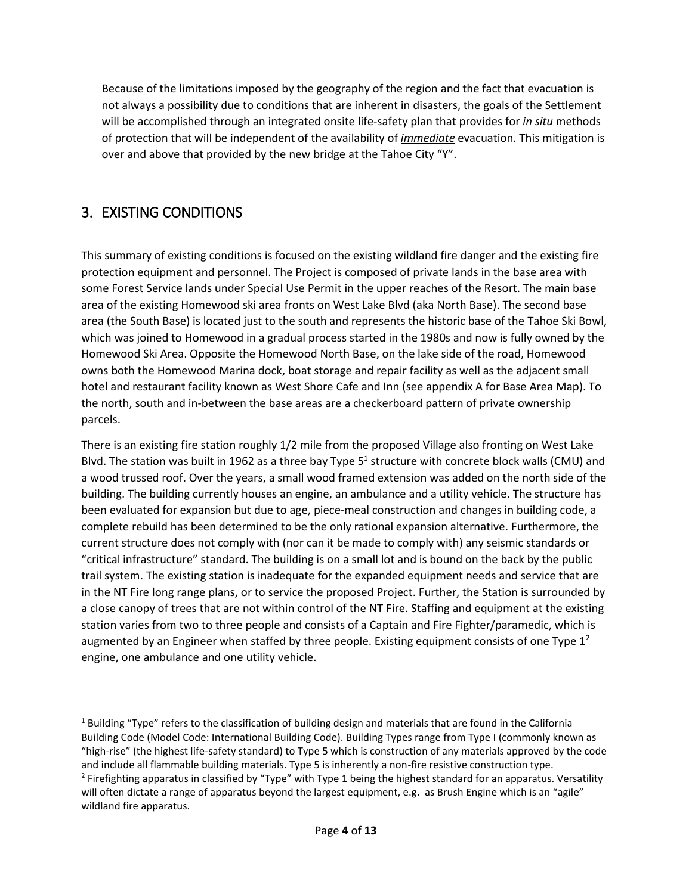Because of the limitations imposed by the geography of the region and the fact that evacuation is not always a possibility due to conditions that are inherent in disasters, the goals of the Settlement will be accomplished through an integrated onsite life-safety plan that provides for *in situ* methods of protection that will be independent of the availability of *immediate* evacuation. This mitigation is over and above that provided by the new bridge at the Tahoe City "Y".

# <span id="page-3-0"></span>3. EXISTING CONDITIONS

 $\overline{\phantom{a}}$ 

This summary of existing conditions is focused on the existing wildland fire danger and the existing fire protection equipment and personnel. The Project is composed of private lands in the base area with some Forest Service lands under Special Use Permit in the upper reaches of the Resort. The main base area of the existing Homewood ski area fronts on West Lake Blvd (aka North Base). The second base area (the South Base) is located just to the south and represents the historic base of the Tahoe Ski Bowl, which was joined to Homewood in a gradual process started in the 1980s and now is fully owned by the Homewood Ski Area. Opposite the Homewood North Base, on the lake side of the road, Homewood owns both the Homewood Marina dock, boat storage and repair facility as well as the adjacent small hotel and restaurant facility known as West Shore Cafe and Inn (see appendix A for Base Area Map). To the north, south and in-between the base areas are a checkerboard pattern of private ownership parcels.

There is an existing fire station roughly 1/2 mile from the proposed Village also fronting on West Lake Blvd. The station was built in 1962 as a three bay Type  $5<sup>1</sup>$  structure with concrete block walls (CMU) and a wood trussed roof. Over the years, a small wood framed extension was added on the north side of the building. The building currently houses an engine, an ambulance and a utility vehicle. The structure has been evaluated for expansion but due to age, piece-meal construction and changes in building code, a complete rebuild has been determined to be the only rational expansion alternative. Furthermore, the current structure does not comply with (nor can it be made to comply with) any seismic standards or "critical infrastructure" standard. The building is on a small lot and is bound on the back by the public trail system. The existing station is inadequate for the expanded equipment needs and service that are in the NT Fire long range plans, or to service the proposed Project. Further, the Station is surrounded by a close canopy of trees that are not within control of the NT Fire. Staffing and equipment at the existing station varies from two to three people and consists of a Captain and Fire Fighter/paramedic, which is augmented by an Engineer when staffed by three people. Existing equipment consists of one Type  $1^2$ engine, one ambulance and one utility vehicle.

 $1$  Building "Type" refers to the classification of building design and materials that are found in the California Building Code (Model Code: International Building Code). Building Types range from Type I (commonly known as "high-rise" (the highest life-safety standard) to Type 5 which is construction of any materials approved by the code and include all flammable building materials. Type 5 is inherently a non-fire resistive construction type. <sup>2</sup> Firefighting apparatus in classified by "Type" with Type 1 being the highest standard for an apparatus. Versatility will often dictate a range of apparatus beyond the largest equipment, e.g. as Brush Engine which is an "agile" wildland fire apparatus.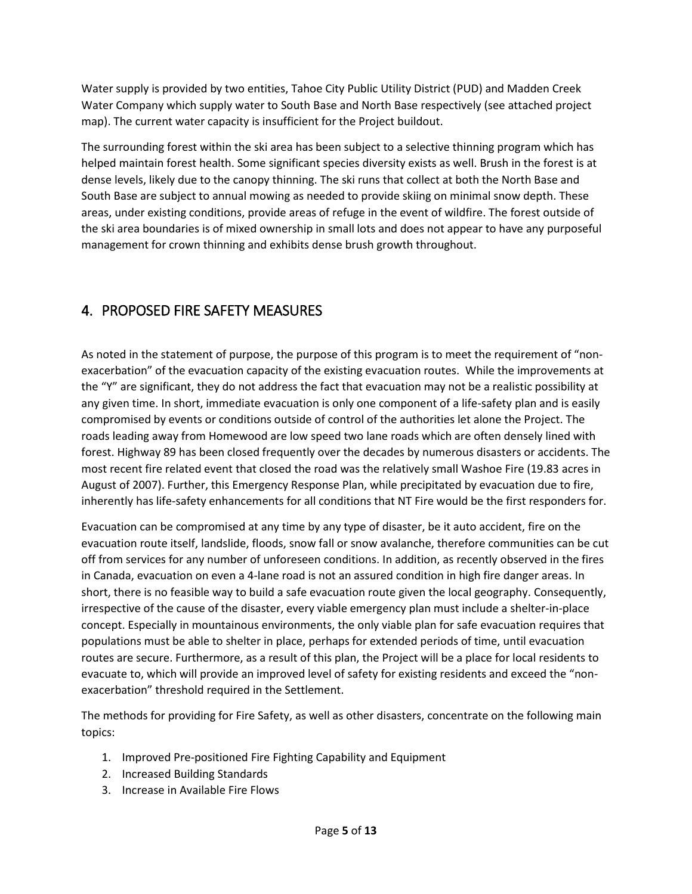Water supply is provided by two entities, Tahoe City Public Utility District (PUD) and Madden Creek Water Company which supply water to South Base and North Base respectively (see attached project map). The current water capacity is insufficient for the Project buildout.

The surrounding forest within the ski area has been subject to a selective thinning program which has helped maintain forest health. Some significant species diversity exists as well. Brush in the forest is at dense levels, likely due to the canopy thinning. The ski runs that collect at both the North Base and South Base are subject to annual mowing as needed to provide skiing on minimal snow depth. These areas, under existing conditions, provide areas of refuge in the event of wildfire. The forest outside of the ski area boundaries is of mixed ownership in small lots and does not appear to have any purposeful management for crown thinning and exhibits dense brush growth throughout.

# <span id="page-4-0"></span>4. PROPOSED FIRE SAFETY MEASURES

As noted in the statement of purpose, the purpose of this program is to meet the requirement of "nonexacerbation" of the evacuation capacity of the existing evacuation routes. While the improvements at the "Y" are significant, they do not address the fact that evacuation may not be a realistic possibility at any given time. In short, immediate evacuation is only one component of a life-safety plan and is easily compromised by events or conditions outside of control of the authorities let alone the Project. The roads leading away from Homewood are low speed two lane roads which are often densely lined with forest. Highway 89 has been closed frequently over the decades by numerous disasters or accidents. The most recent fire related event that closed the road was the relatively small Washoe Fire (19.83 acres in August of 2007). Further, this Emergency Response Plan, while precipitated by evacuation due to fire, inherently has life-safety enhancements for all conditions that NT Fire would be the first responders for.

Evacuation can be compromised at any time by any type of disaster, be it auto accident, fire on the evacuation route itself, landslide, floods, snow fall or snow avalanche, therefore communities can be cut off from services for any number of unforeseen conditions. In addition, as recently observed in the fires in Canada, evacuation on even a 4-lane road is not an assured condition in high fire danger areas. In short, there is no feasible way to build a safe evacuation route given the local geography. Consequently, irrespective of the cause of the disaster, every viable emergency plan must include a shelter-in-place concept. Especially in mountainous environments, the only viable plan for safe evacuation requires that populations must be able to shelter in place, perhaps for extended periods of time, until evacuation routes are secure. Furthermore, as a result of this plan, the Project will be a place for local residents to evacuate to, which will provide an improved level of safety for existing residents and exceed the "nonexacerbation" threshold required in the Settlement.

The methods for providing for Fire Safety, as well as other disasters, concentrate on the following main topics:

- 1. Improved Pre-positioned Fire Fighting Capability and Equipment
- 2. Increased Building Standards
- 3. Increase in Available Fire Flows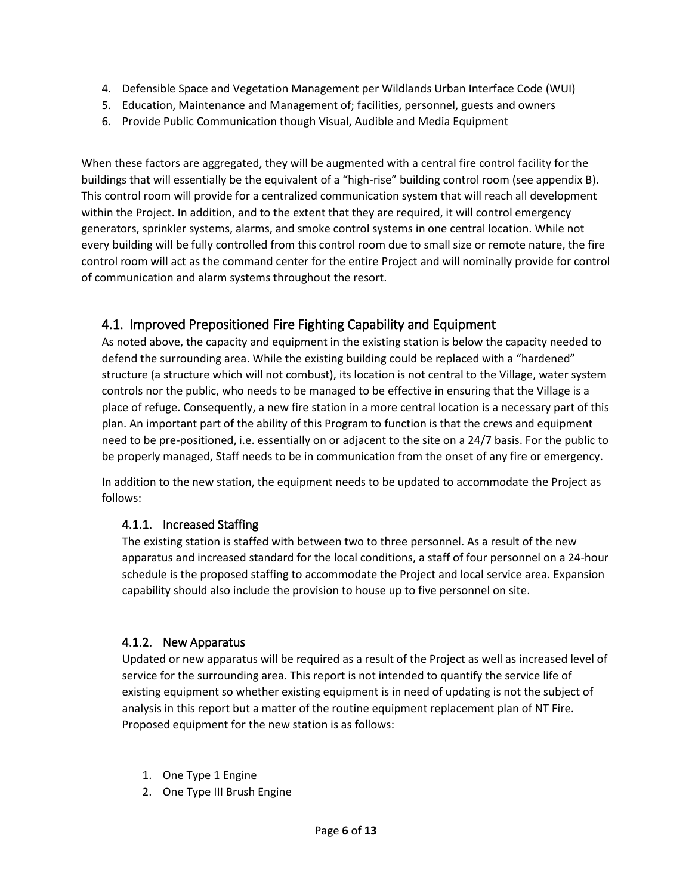- 4. Defensible Space and Vegetation Management per Wildlands Urban Interface Code (WUI)
- 5. Education, Maintenance and Management of; facilities, personnel, guests and owners
- 6. Provide Public Communication though Visual, Audible and Media Equipment

When these factors are aggregated, they will be augmented with a central fire control facility for the buildings that will essentially be the equivalent of a "high-rise" building control room (see appendix B). This control room will provide for a centralized communication system that will reach all development within the Project. In addition, and to the extent that they are required, it will control emergency generators, sprinkler systems, alarms, and smoke control systems in one central location. While not every building will be fully controlled from this control room due to small size or remote nature, the fire control room will act as the command center for the entire Project and will nominally provide for control of communication and alarm systems throughout the resort.

#### <span id="page-5-0"></span>4.1. Improved Prepositioned Fire Fighting Capability and Equipment

As noted above, the capacity and equipment in the existing station is below the capacity needed to defend the surrounding area. While the existing building could be replaced with a "hardened" structure (a structure which will not combust), its location is not central to the Village, water system controls nor the public, who needs to be managed to be effective in ensuring that the Village is a place of refuge. Consequently, a new fire station in a more central location is a necessary part of this plan. An important part of the ability of this Program to function is that the crews and equipment need to be pre-positioned, i.e. essentially on or adjacent to the site on a 24/7 basis. For the public to be properly managed, Staff needs to be in communication from the onset of any fire or emergency.

In addition to the new station, the equipment needs to be updated to accommodate the Project as follows:

#### <span id="page-5-1"></span>4.1.1. Increased Staffing

The existing station is staffed with between two to three personnel. As a result of the new apparatus and increased standard for the local conditions, a staff of four personnel on a 24-hour schedule is the proposed staffing to accommodate the Project and local service area. Expansion capability should also include the provision to house up to five personnel on site.

#### <span id="page-5-2"></span>4.1.2. New Apparatus

Updated or new apparatus will be required as a result of the Project as well as increased level of service for the surrounding area. This report is not intended to quantify the service life of existing equipment so whether existing equipment is in need of updating is not the subject of analysis in this report but a matter of the routine equipment replacement plan of NT Fire. Proposed equipment for the new station is as follows:

- 1. One Type 1 Engine
- 2. One Type III Brush Engine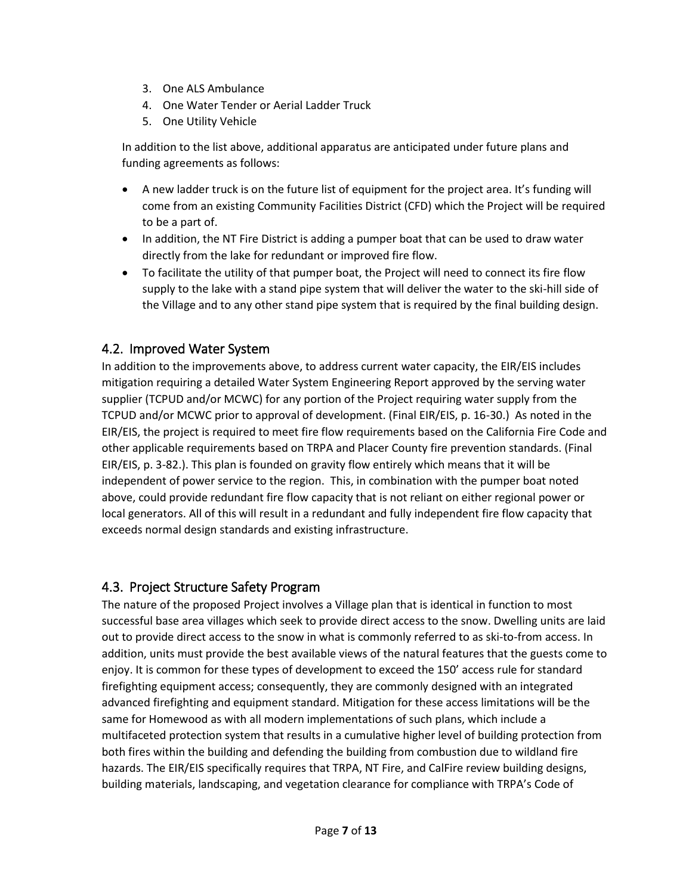- 3. One ALS Ambulance
- 4. One Water Tender or Aerial Ladder Truck
- 5. One Utility Vehicle

In addition to the list above, additional apparatus are anticipated under future plans and funding agreements as follows:

- A new ladder truck is on the future list of equipment for the project area. It's funding will come from an existing Community Facilities District (CFD) which the Project will be required to be a part of.
- In addition, the NT Fire District is adding a pumper boat that can be used to draw water directly from the lake for redundant or improved fire flow.
- To facilitate the utility of that pumper boat, the Project will need to connect its fire flow supply to the lake with a stand pipe system that will deliver the water to the ski-hill side of the Village and to any other stand pipe system that is required by the final building design.

## <span id="page-6-0"></span>4.2. Improved Water System

In addition to the improvements above, to address current water capacity, the EIR/EIS includes mitigation requiring a detailed Water System Engineering Report approved by the serving water supplier (TCPUD and/or MCWC) for any portion of the Project requiring water supply from the TCPUD and/or MCWC prior to approval of development. (Final EIR/EIS, p. 16-30.) As noted in the EIR/EIS, the project is required to meet fire flow requirements based on the California Fire Code and other applicable requirements based on TRPA and Placer County fire prevention standards. (Final EIR/EIS, p. 3-82.). This plan is founded on gravity flow entirely which means that it will be independent of power service to the region. This, in combination with the pumper boat noted above, could provide redundant fire flow capacity that is not reliant on either regional power or local generators. All of this will result in a redundant and fully independent fire flow capacity that exceeds normal design standards and existing infrastructure.

### <span id="page-6-1"></span>4.3. Project Structure Safety Program

The nature of the proposed Project involves a Village plan that is identical in function to most successful base area villages which seek to provide direct access to the snow. Dwelling units are laid out to provide direct access to the snow in what is commonly referred to as ski-to-from access. In addition, units must provide the best available views of the natural features that the guests come to enjoy. It is common for these types of development to exceed the 150' access rule for standard firefighting equipment access; consequently, they are commonly designed with an integrated advanced firefighting and equipment standard. Mitigation for these access limitations will be the same for Homewood as with all modern implementations of such plans, which include a multifaceted protection system that results in a cumulative higher level of building protection from both fires within the building and defending the building from combustion due to wildland fire hazards. The EIR/EIS specifically requires that TRPA, NT Fire, and CalFire review building designs, building materials, landscaping, and vegetation clearance for compliance with TRPA's Code of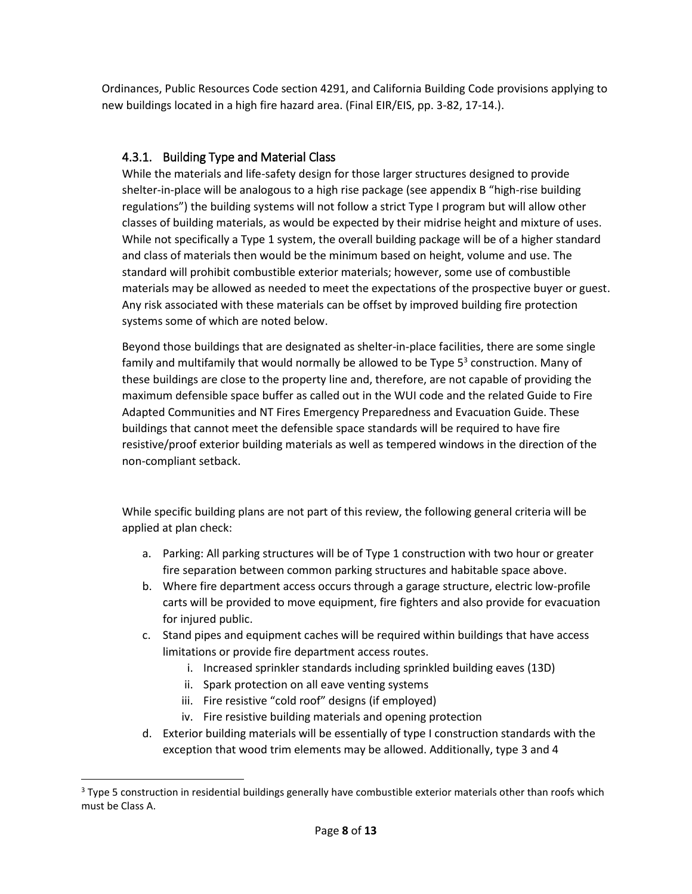Ordinances, Public Resources Code section 4291, and California Building Code provisions applying to new buildings located in a high fire hazard area. (Final EIR/EIS, pp. 3-82, 17-14.).

#### <span id="page-7-0"></span>4.3.1. Building Type and Material Class

While the materials and life-safety design for those larger structures designed to provide shelter-in-place will be analogous to a high rise package (see appendix B "high-rise building regulations") the building systems will not follow a strict Type I program but will allow other classes of building materials, as would be expected by their midrise height and mixture of uses. While not specifically a Type 1 system, the overall building package will be of a higher standard and class of materials then would be the minimum based on height, volume and use. The standard will prohibit combustible exterior materials; however, some use of combustible materials may be allowed as needed to meet the expectations of the prospective buyer or guest. Any risk associated with these materials can be offset by improved building fire protection systems some of which are noted below.

Beyond those buildings that are designated as shelter-in-place facilities, there are some single family and multifamily that would normally be allowed to be Type  $5<sup>3</sup>$  construction. Many of these buildings are close to the property line and, therefore, are not capable of providing the maximum defensible space buffer as called out in the WUI code and the related Guide to Fire Adapted Communities and NT Fires Emergency Preparedness and Evacuation Guide. These buildings that cannot meet the defensible space standards will be required to have fire resistive/proof exterior building materials as well as tempered windows in the direction of the non-compliant setback.

While specific building plans are not part of this review, the following general criteria will be applied at plan check:

- a. Parking: All parking structures will be of Type 1 construction with two hour or greater fire separation between common parking structures and habitable space above.
- b. Where fire department access occurs through a garage structure, electric low-profile carts will be provided to move equipment, fire fighters and also provide for evacuation for injured public.
- c. Stand pipes and equipment caches will be required within buildings that have access limitations or provide fire department access routes.
	- i. Increased sprinkler standards including sprinkled building eaves (13D)
	- ii. Spark protection on all eave venting systems
	- iii. Fire resistive "cold roof" designs (if employed)

l

- iv. Fire resistive building materials and opening protection
- d. Exterior building materials will be essentially of type I construction standards with the exception that wood trim elements may be allowed. Additionally, type 3 and 4

<sup>&</sup>lt;sup>3</sup> Type 5 construction in residential buildings generally have combustible exterior materials other than roofs which must be Class A.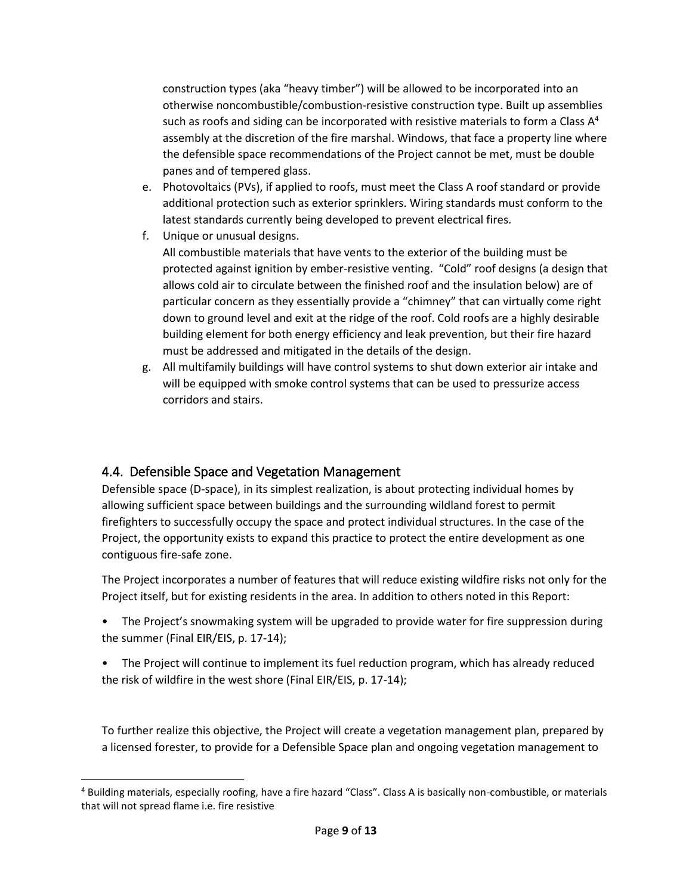construction types (aka "heavy timber") will be allowed to be incorporated into an otherwise noncombustible/combustion-resistive construction type. Built up assemblies such as roofs and siding can be incorporated with resistive materials to form a Class  $A^4$ assembly at the discretion of the fire marshal. Windows, that face a property line where the defensible space recommendations of the Project cannot be met, must be double panes and of tempered glass.

- e. Photovoltaics (PVs), if applied to roofs, must meet the Class A roof standard or provide additional protection such as exterior sprinklers. Wiring standards must conform to the latest standards currently being developed to prevent electrical fires.
- f. Unique or unusual designs. All combustible materials that have vents to the exterior of the building must be protected against ignition by ember-resistive venting. "Cold" roof designs (a design that allows cold air to circulate between the finished roof and the insulation below) are of particular concern as they essentially provide a "chimney" that can virtually come right down to ground level and exit at the ridge of the roof. Cold roofs are a highly desirable building element for both energy efficiency and leak prevention, but their fire hazard must be addressed and mitigated in the details of the design.
- g. All multifamily buildings will have control systems to shut down exterior air intake and will be equipped with smoke control systems that can be used to pressurize access corridors and stairs.

### <span id="page-8-0"></span>4.4. Defensible Space and Vegetation Management

l

Defensible space (D-space), in its simplest realization, is about protecting individual homes by allowing sufficient space between buildings and the surrounding wildland forest to permit firefighters to successfully occupy the space and protect individual structures. In the case of the Project, the opportunity exists to expand this practice to protect the entire development as one contiguous fire-safe zone.

The Project incorporates a number of features that will reduce existing wildfire risks not only for the Project itself, but for existing residents in the area. In addition to others noted in this Report:

- The Project's snowmaking system will be upgraded to provide water for fire suppression during the summer (Final EIR/EIS, p. 17-14);
- The Project will continue to implement its fuel reduction program, which has already reduced the risk of wildfire in the west shore (Final EIR/EIS, p. 17-14);

To further realize this objective, the Project will create a vegetation management plan, prepared by a licensed forester, to provide for a Defensible Space plan and ongoing vegetation management to

<sup>4</sup> Building materials, especially roofing, have a fire hazard "Class". Class A is basically non-combustible, or materials that will not spread flame i.e. fire resistive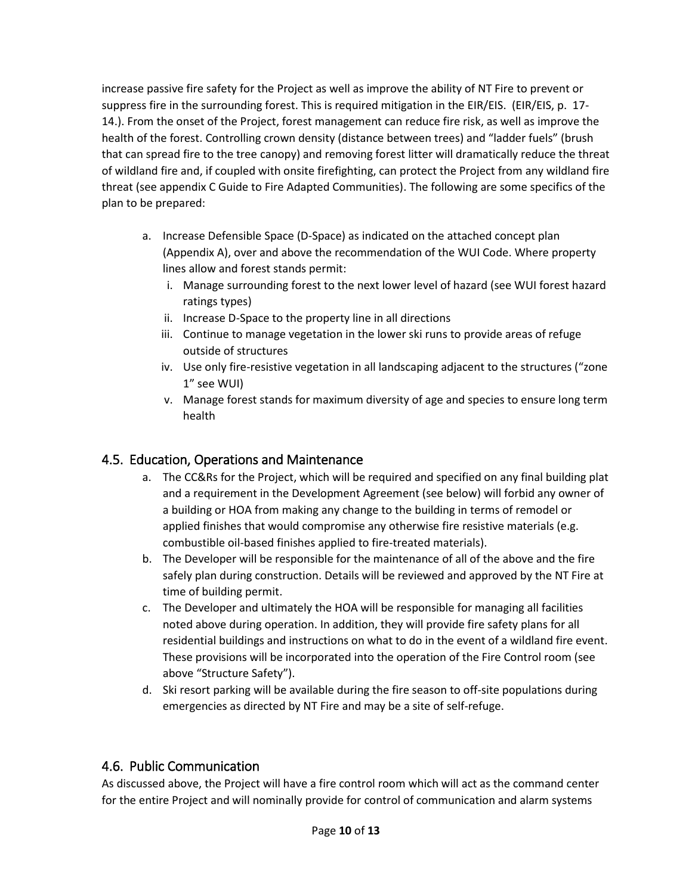increase passive fire safety for the Project as well as improve the ability of NT Fire to prevent or suppress fire in the surrounding forest. This is required mitigation in the EIR/EIS. (EIR/EIS, p. 17- 14.). From the onset of the Project, forest management can reduce fire risk, as well as improve the health of the forest. Controlling crown density (distance between trees) and "ladder fuels" (brush that can spread fire to the tree canopy) and removing forest litter will dramatically reduce the threat of wildland fire and, if coupled with onsite firefighting, can protect the Project from any wildland fire threat (see appendix C Guide to Fire Adapted Communities). The following are some specifics of the plan to be prepared:

- a. Increase Defensible Space (D-Space) as indicated on the attached concept plan (Appendix A), over and above the recommendation of the WUI Code. Where property lines allow and forest stands permit:
	- i. Manage surrounding forest to the next lower level of hazard (see WUI forest hazard ratings types)
	- ii. Increase D-Space to the property line in all directions
	- iii. Continue to manage vegetation in the lower ski runs to provide areas of refuge outside of structures
	- iv. Use only fire-resistive vegetation in all landscaping adjacent to the structures ("zone 1" see WUI)
	- v. Manage forest stands for maximum diversity of age and species to ensure long term health

### 4.5. Education, Operations and Maintenance

- <span id="page-9-0"></span>a. The CC&Rs for the Project, which will be required and specified on any final building plat and a requirement in the Development Agreement (see below) will forbid any owner of a building or HOA from making any change to the building in terms of remodel or applied finishes that would compromise any otherwise fire resistive materials (e.g. combustible oil-based finishes applied to fire-treated materials).
- b. The Developer will be responsible for the maintenance of all of the above and the fire safely plan during construction. Details will be reviewed and approved by the NT Fire at time of building permit.
- c. The Developer and ultimately the HOA will be responsible for managing all facilities noted above during operation. In addition, they will provide fire safety plans for all residential buildings and instructions on what to do in the event of a wildland fire event. These provisions will be incorporated into the operation of the Fire Control room (see above "Structure Safety").
- d. Ski resort parking will be available during the fire season to off-site populations during emergencies as directed by NT Fire and may be a site of self-refuge.

### <span id="page-9-1"></span>4.6. Public Communication

As discussed above, the Project will have a fire control room which will act as the command center for the entire Project and will nominally provide for control of communication and alarm systems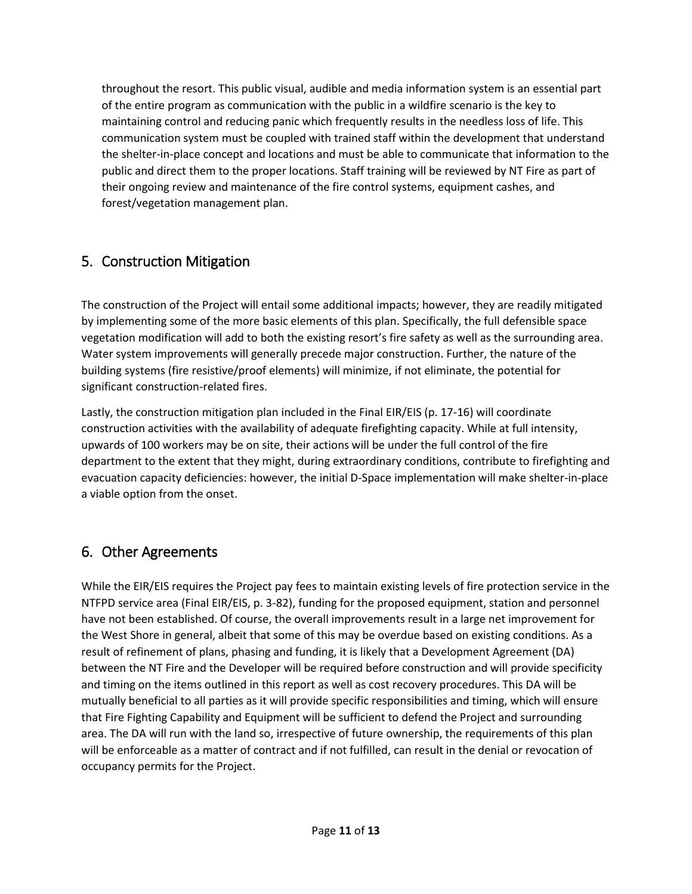throughout the resort. This public visual, audible and media information system is an essential part of the entire program as communication with the public in a wildfire scenario is the key to maintaining control and reducing panic which frequently results in the needless loss of life. This communication system must be coupled with trained staff within the development that understand the shelter-in-place concept and locations and must be able to communicate that information to the public and direct them to the proper locations. Staff training will be reviewed by NT Fire as part of their ongoing review and maintenance of the fire control systems, equipment cashes, and forest/vegetation management plan.

## <span id="page-10-0"></span>5. Construction Mitigation

The construction of the Project will entail some additional impacts; however, they are readily mitigated by implementing some of the more basic elements of this plan. Specifically, the full defensible space vegetation modification will add to both the existing resort's fire safety as well as the surrounding area. Water system improvements will generally precede major construction. Further, the nature of the building systems (fire resistive/proof elements) will minimize, if not eliminate, the potential for significant construction-related fires.

Lastly, the construction mitigation plan included in the Final EIR/EIS (p. 17-16) will coordinate construction activities with the availability of adequate firefighting capacity. While at full intensity, upwards of 100 workers may be on site, their actions will be under the full control of the fire department to the extent that they might, during extraordinary conditions, contribute to firefighting and evacuation capacity deficiencies: however, the initial D-Space implementation will make shelter-in-place a viable option from the onset.

# <span id="page-10-1"></span>6. Other Agreements

While the EIR/EIS requires the Project pay fees to maintain existing levels of fire protection service in the NTFPD service area (Final EIR/EIS, p. 3-82), funding for the proposed equipment, station and personnel have not been established. Of course, the overall improvements result in a large net improvement for the West Shore in general, albeit that some of this may be overdue based on existing conditions. As a result of refinement of plans, phasing and funding, it is likely that a Development Agreement (DA) between the NT Fire and the Developer will be required before construction and will provide specificity and timing on the items outlined in this report as well as cost recovery procedures. This DA will be mutually beneficial to all parties as it will provide specific responsibilities and timing, which will ensure that Fire Fighting Capability and Equipment will be sufficient to defend the Project and surrounding area. The DA will run with the land so, irrespective of future ownership, the requirements of this plan will be enforceable as a matter of contract and if not fulfilled, can result in the denial or revocation of occupancy permits for the Project.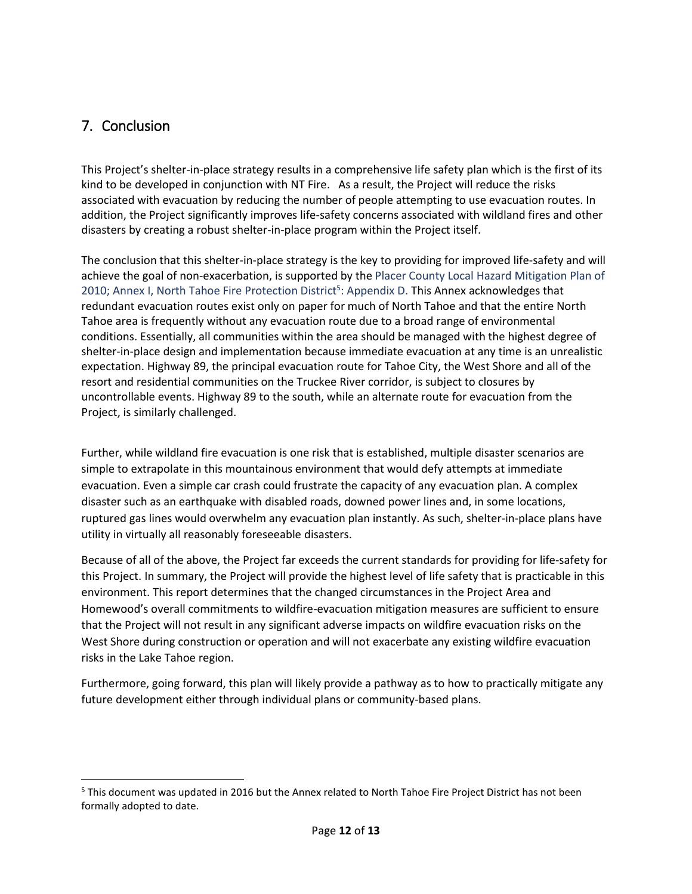## <span id="page-11-0"></span>7. Conclusion

l

This Project's shelter-in-place strategy results in a comprehensive life safety plan which is the first of its kind to be developed in conjunction with NT Fire. As a result, the Project will reduce the risks associated with evacuation by reducing the number of people attempting to use evacuation routes. In addition, the Project significantly improves life-safety concerns associated with wildland fires and other disasters by creating a robust shelter-in-place program within the Project itself.

The conclusion that this shelter-in-place strategy is the key to providing for improved life-safety and will achieve the goal of non-exacerbation, is supported by the Placer County Local Hazard Mitigation Plan of 2010; Annex I, North Tahoe Fire Protection District<sup>5</sup>: Appendix D. This Annex acknowledges that redundant evacuation routes exist only on paper for much of North Tahoe and that the entire North Tahoe area is frequently without any evacuation route due to a broad range of environmental conditions. Essentially, all communities within the area should be managed with the highest degree of shelter-in-place design and implementation because immediate evacuation at any time is an unrealistic expectation. Highway 89, the principal evacuation route for Tahoe City, the West Shore and all of the resort and residential communities on the Truckee River corridor, is subject to closures by uncontrollable events. Highway 89 to the south, while an alternate route for evacuation from the Project, is similarly challenged.

Further, while wildland fire evacuation is one risk that is established, multiple disaster scenarios are simple to extrapolate in this mountainous environment that would defy attempts at immediate evacuation. Even a simple car crash could frustrate the capacity of any evacuation plan. A complex disaster such as an earthquake with disabled roads, downed power lines and, in some locations, ruptured gas lines would overwhelm any evacuation plan instantly. As such, shelter-in-place plans have utility in virtually all reasonably foreseeable disasters.

Because of all of the above, the Project far exceeds the current standards for providing for life-safety for this Project. In summary, the Project will provide the highest level of life safety that is practicable in this environment. This report determines that the changed circumstances in the Project Area and Homewood's overall commitments to wildfire-evacuation mitigation measures are sufficient to ensure that the Project will not result in any significant adverse impacts on wildfire evacuation risks on the West Shore during construction or operation and will not exacerbate any existing wildfire evacuation risks in the Lake Tahoe region.

Furthermore, going forward, this plan will likely provide a pathway as to how to practically mitigate any future development either through individual plans or community-based plans.

<sup>&</sup>lt;sup>5</sup> This document was updated in 2016 but the Annex related to North Tahoe Fire Project District has not been formally adopted to date.